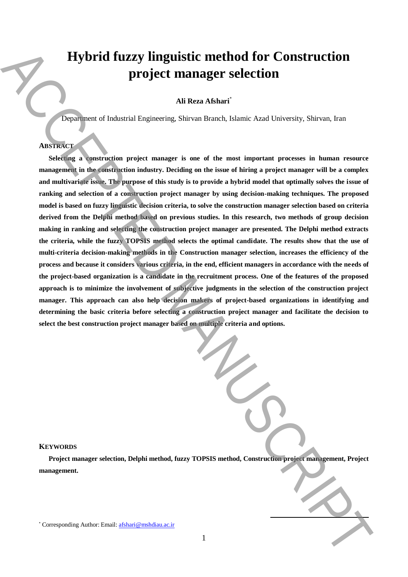# **Hybrid fuzzy linguistic method for Construction project manager selection**

# **Ali Reza Afshari**\*

Department of Industrial Engineering, Shirvan Branch, Islamic Azad University, Shirvan, Iran

# **ABSTRACT**

**Selecting a construction project manager is one of the most important processes in human resource management in the construction industry. Deciding on the issue of hiring a project manager will be a complex and multivariate issue. The purpose of this study is to provide a hybrid model that optimally solves the issue of ranking and selection of a construction project manager by using decision-making techniques. The proposed model is based on fuzzy linguistic decision criteria, to solve the construction manager selection based on criteria derived from the Delphi method based on previous studies. In this research, two methods of group decision making in ranking and selecting the construction project manager are presented. The Delphi method extracts the criteria, while the fuzzy TOPSIS method selects the optimal candidate. The results show that the use of multi-criteria decision-making methods in the Construction manager selection, increases the efficiency of the process and because it considers various criteria, in the end, efficient managers in accordance with the needs of the project-based organization is a candidate in the recruitment process. One of the features of the proposed approach is to minimize the involvement of subjective judgments in the selection of the construction project manager. This approach can also help decision makers of project-based organizations in identifying and determining the basic criteria before selecting a construction project manager and facilitate the decision to select the best construction project manager based on multiple criteria and options. Example 20**<br> **Example 20**<br> **Example 20**<br> **Example 20**<br> **Example 20**<br> **Example 20**<br> **Example 20**<br> **Example 20**<br> **Example 20**<br> **Example 20**<br> **Example 20**<br> **Example 20**<br> **Example 20**<br> **Example 20**<br> **Example 20**<br> **Example 20** 

#### **KEYWORDS**

**Project manager selection, Delphi method, fuzzy TOPSIS method, Construction project management, Project management.**

**.**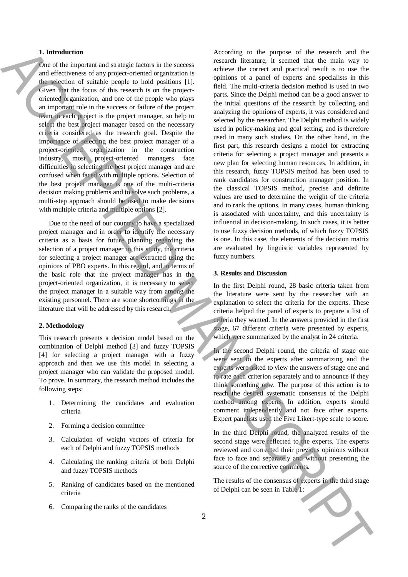#### **1. Introduction**

One of the important and strategic factors in the success and effectiveness of any project-oriented organization is the selection of suitable people to hold positions [1]. Given that the focus of this research is on the projectoriented organization, and one of the people who plays an important role in the success or failure of the project team in each project is the project manager, so help to select the best project manager based on the necessary criteria considered as the research goal. Despite the importance of selecting the best project manager of a project-oriented organization in the construction industry, most project-oriented managers face difficulties in selecting the best project manager and are confused when faced with multiple options. Selection of the best project manager is one of the multi-criteria decision making problems and to solve such problems, a multi-step approach should be used to make decisions with multiple criteria and multiple options [2].

Due to the need of our country to have a specialized project manager and in order to identify the necessary criteria as a basis for future planning regarding the selection of a project manager in this study, the criteria for selecting a project manager are extracted using the opinions of PBO experts. In this regard, and in terms of the basic role that the project manager has in the project-oriented organization, it is necessary to select the project manager in a suitable way from among the existing personnel. There are some shortcomings in the literature that will be addressed by this research.

### **2. Methodology**

This research presents a decision model based on the combination of Delphi method [3] and fuzzy TOPSIS [4] for selecting a project manager with a fuzzy approach and then we use this model in selecting a project manager who can validate the proposed model. To prove. In summary, the research method includes the following steps:

- 1. Determining the candidates and evaluation criteria
- 2. Forming a decision committee
- 3. Calculation of weight vectors of criteria for each of Delphi and fuzzy TOPSIS methods
- 4. Calculating the ranking criteria of both Delphi and fuzzy TOPSIS methods
- 5. Ranking of candidates based on the mentioned criteria
- 6. Comparing the ranks of the candidates

According to the purpose of the research and the research literature, it seemed that the main way to achieve the correct and practical result is to use the opinions of a panel of experts and specialists in this field. The multi-criteria decision method is used in two parts. Since the Delphi method can be a good answer to the initial questions of the research by collecting and analyzing the opinions of experts, it was considered and selected by the researcher. The Delphi method is widely used in policy-making and goal setting, and is therefore used in many such studies. On the other hand, in the first part, this research designs a model for extracting criteria for selecting a project manager and presents a new plan for selecting human resources. In addition, in this research, fuzzy TOPSIS method has been used to rank candidates for construction manager position. In the classical TOPSIS method, precise and definite values are used to determine the weight of the criteria and to rank the options. In many cases, human thinking is associated with uncertainty, and this uncertainty is influential in decision-making. In such cases, it is better to use fuzzy decision methods, of which fuzzy TOPSIS is one. In this case, the elements of the decision matrix are evaluated by linguistic variables represented by fuzzy numbers. **1** Interdeffects the property density in Equation 1) And the second state in the second state in the second state in the second state in the second state in the second state in the second state in the second state in th

#### **3. Results and Discussion**

In the first Delphi round, 28 basic criteria taken from the literature were sent by the researcher with an explanation to select the criteria for the experts. These criteria helped the panel of experts to prepare a list of criteria they wanted. In the answers provided in the first stage, 67 different criteria were presented by experts, which were summarized by the analyst in 24 criteria.

In the second Delphi round, the criteria of stage one were sent to the experts after summarizing and the experts were asked to view the answers of stage one and to rate each criterion separately and to announce if they think something new. The purpose of this action is to reach the desired systematic consensus of the Delphi method among experts. In addition, experts should comment independently and not face other experts. Expert panelists used the Five Likert-type scale to score.

In the third Delphi round, the analyzed results of the second stage were reflected to the experts. The experts reviewed and corrected their previous opinions without face to face and separately and without presenting the source of the corrective comments.

The results of the consensus of experts in the third stage